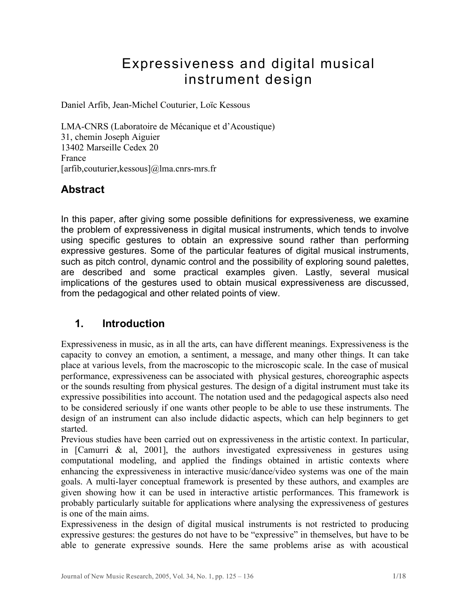# Expressiveness and digital musical instrument design

Daniel Arfib, Jean-Michel Couturier, Loïc Kessous

LMA-CNRS (Laboratoire de Mécanique et d'Acoustique) 31, chemin Joseph Aiguier 13402 Marseille Cedex 20 France [arfib,couturier,kessous]@lma.cnrs-mrs.fr

# **Abstract**

In this paper, after giving some possible definitions for expressiveness, we examine the problem of expressiveness in digital musical instruments, which tends to involve using specific gestures to obtain an expressive sound rather than performing expressive gestures. Some of the particular features of digital musical instruments, such as pitch control, dynamic control and the possibility of exploring sound palettes, are described and some practical examples given. Lastly, several musical implications of the gestures used to obtain musical expressiveness are discussed, from the pedagogical and other related points of view.

# **1. Introduction**

Expressiveness in music, as in all the arts, can have different meanings. Expressiveness is the capacity to convey an emotion, a sentiment, a message, and many other things. It can take place at various levels, from the macroscopic to the microscopic scale. In the case of musical performance, expressiveness can be associated with physical gestures, choreographic aspects or the sounds resulting from physical gestures. The design of a digital instrument must take its expressive possibilities into account. The notation used and the pedagogical aspects also need to be considered seriously if one wants other people to be able to use these instruments. The design of an instrument can also include didactic aspects, which can help beginners to get started.

Previous studies have been carried out on expressiveness in the artistic context. In particular, in [Camurri & al, 2001], the authors investigated expressiveness in gestures using computational modeling, and applied the findings obtained in artistic contexts where enhancing the expressiveness in interactive music/dance/video systems was one of the main goals. A multi-layer conceptual framework is presented by these authors, and examples are given showing how it can be used in interactive artistic performances. This framework is probably particularly suitable for applications where analysing the expressiveness of gestures is one of the main aims.

Expressiveness in the design of digital musical instruments is not restricted to producing expressive gestures: the gestures do not have to be "expressive" in themselves, but have to be able to generate expressive sounds. Here the same problems arise as with acoustical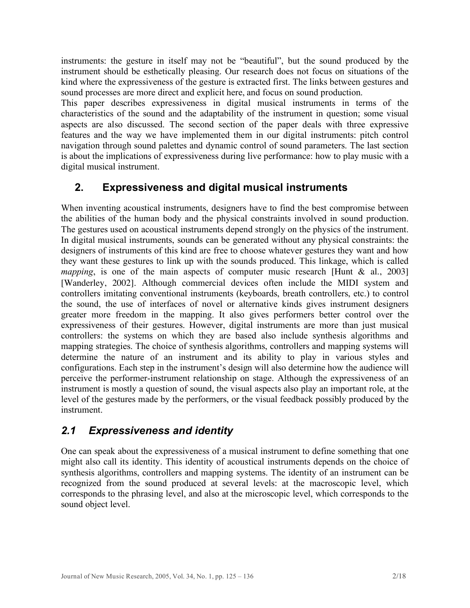instruments: the gesture in itself may not be "beautiful", but the sound produced by the instrument should be esthetically pleasing. Our research does not focus on situations of the kind where the expressiveness of the gesture is extracted first. The links between gestures and sound processes are more direct and explicit here, and focus on sound production.

This paper describes expressiveness in digital musical instruments in terms of the characteristics of the sound and the adaptability of the instrument in question; some visual aspects are also discussed. The second section of the paper deals with three expressive features and the way we have implemented them in our digital instruments: pitch control navigation through sound palettes and dynamic control of sound parameters. The last section is about the implications of expressiveness during live performance: how to play music with a digital musical instrument.

# **2. Expressiveness and digital musical instruments**

When inventing acoustical instruments, designers have to find the best compromise between the abilities of the human body and the physical constraints involved in sound production. The gestures used on acoustical instruments depend strongly on the physics of the instrument. In digital musical instruments, sounds can be generated without any physical constraints: the designers of instruments of this kind are free to choose whatever gestures they want and how they want these gestures to link up with the sounds produced. This linkage, which is called *mapping*, is one of the main aspects of computer music research [Hunt & al., 2003] [Wanderley, 2002]. Although commercial devices often include the MIDI system and controllers imitating conventional instruments (keyboards, breath controllers, etc.) to control the sound, the use of interfaces of novel or alternative kinds gives instrument designers greater more freedom in the mapping. It also gives performers better control over the expressiveness of their gestures. However, digital instruments are more than just musical controllers: the systems on which they are based also include synthesis algorithms and mapping strategies. The choice of synthesis algorithms, controllers and mapping systems will determine the nature of an instrument and its ability to play in various styles and configurations. Each step in the instrument's design will also determine how the audience will perceive the performer-instrument relationship on stage. Although the expressiveness of an instrument is mostly a question of sound, the visual aspects also play an important role, at the level of the gestures made by the performers, or the visual feedback possibly produced by the instrument.

# *2.1 Expressiveness and identity*

One can speak about the expressiveness of a musical instrument to define something that one might also call its identity. This identity of acoustical instruments depends on the choice of synthesis algorithms, controllers and mapping systems. The identity of an instrument can be recognized from the sound produced at several levels: at the macroscopic level, which corresponds to the phrasing level, and also at the microscopic level, which corresponds to the sound object level.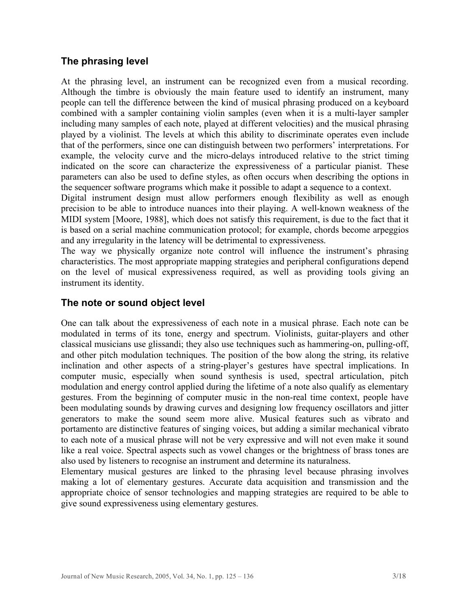#### **The phrasing level**

At the phrasing level, an instrument can be recognized even from a musical recording. Although the timbre is obviously the main feature used to identify an instrument, many people can tell the difference between the kind of musical phrasing produced on a keyboard combined with a sampler containing violin samples (even when it is a multi-layer sampler including many samples of each note, played at different velocities) and the musical phrasing played by a violinist. The levels at which this ability to discriminate operates even include that of the performers, since one can distinguish between two performers' interpretations. For example, the velocity curve and the micro-delays introduced relative to the strict timing indicated on the score can characterize the expressiveness of a particular pianist. These parameters can also be used to define styles, as often occurs when describing the options in the sequencer software programs which make it possible to adapt a sequence to a context.

Digital instrument design must allow performers enough flexibility as well as enough precision to be able to introduce nuances into their playing. A well-known weakness of the MIDI system [Moore, 1988], which does not satisfy this requirement, is due to the fact that it is based on a serial machine communication protocol; for example, chords become arpeggios and any irregularity in the latency will be detrimental to expressiveness.

The way we physically organize note control will influence the instrument's phrasing characteristics. The most appropriate mapping strategies and peripheral configurations depend on the level of musical expressiveness required, as well as providing tools giving an instrument its identity.

#### **The note or sound object level**

One can talk about the expressiveness of each note in a musical phrase. Each note can be modulated in terms of its tone, energy and spectrum. Violinists, guitar-players and other classical musicians use glissandi; they also use techniques such as hammering-on, pulling-off, and other pitch modulation techniques. The position of the bow along the string, its relative inclination and other aspects of a string-player's gestures have spectral implications. In computer music, especially when sound synthesis is used, spectral articulation, pitch modulation and energy control applied during the lifetime of a note also qualify as elementary gestures. From the beginning of computer music in the non-real time context, people have been modulating sounds by drawing curves and designing low frequency oscillators and jitter generators to make the sound seem more alive. Musical features such as vibrato and portamento are distinctive features of singing voices, but adding a similar mechanical vibrato to each note of a musical phrase will not be very expressive and will not even make it sound like a real voice. Spectral aspects such as vowel changes or the brightness of brass tones are also used by listeners to recognise an instrument and determine its naturalness.

Elementary musical gestures are linked to the phrasing level because phrasing involves making a lot of elementary gestures. Accurate data acquisition and transmission and the appropriate choice of sensor technologies and mapping strategies are required to be able to give sound expressiveness using elementary gestures.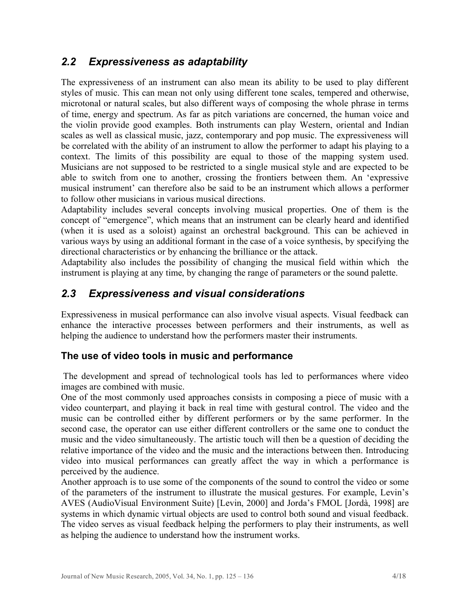# *2.2 Expressiveness as adaptability*

The expressiveness of an instrument can also mean its ability to be used to play different styles of music. This can mean not only using different tone scales, tempered and otherwise, microtonal or natural scales, but also different ways of composing the whole phrase in terms of time, energy and spectrum. As far as pitch variations are concerned, the human voice and the violin provide good examples. Both instruments can play Western, oriental and Indian scales as well as classical music, jazz, contemporary and pop music. The expressiveness will be correlated with the ability of an instrument to allow the performer to adapt his playing to a context. The limits of this possibility are equal to those of the mapping system used. Musicians are not supposed to be restricted to a single musical style and are expected to be able to switch from one to another, crossing the frontiers between them. An 'expressive musical instrument' can therefore also be said to be an instrument which allows a performer to follow other musicians in various musical directions.

Adaptability includes several concepts involving musical properties. One of them is the concept of "emergence", which means that an instrument can be clearly heard and identified (when it is used as a soloist) against an orchestral background. This can be achieved in various ways by using an additional formant in the case of a voice synthesis, by specifying the directional characteristics or by enhancing the brilliance or the attack.

Adaptability also includes the possibility of changing the musical field within which the instrument is playing at any time, by changing the range of parameters or the sound palette.

# *2.3 Expressiveness and visual considerations*

Expressiveness in musical performance can also involve visual aspects. Visual feedback can enhance the interactive processes between performers and their instruments, as well as helping the audience to understand how the performers master their instruments.

#### **The use of video tools in music and performance**

The development and spread of technological tools has led to performances where video images are combined with music.

One of the most commonly used approaches consists in composing a piece of music with a video counterpart, and playing it back in real time with gestural control. The video and the music can be controlled either by different performers or by the same performer. In the second case, the operator can use either different controllers or the same one to conduct the music and the video simultaneously. The artistic touch will then be a question of deciding the relative importance of the video and the music and the interactions between then. Introducing video into musical performances can greatly affect the way in which a performance is perceived by the audience.

Another approach is to use some of the components of the sound to control the video or some of the parameters of the instrument to illustrate the musical gestures. For example, Levin's AVES (AudioVisual Environment Suite) [Levin, 2000] and Jorda's FMOL [Jordà, 1998] are systems in which dynamic virtual objects are used to control both sound and visual feedback. The video serves as visual feedback helping the performers to play their instruments, as well as helping the audience to understand how the instrument works.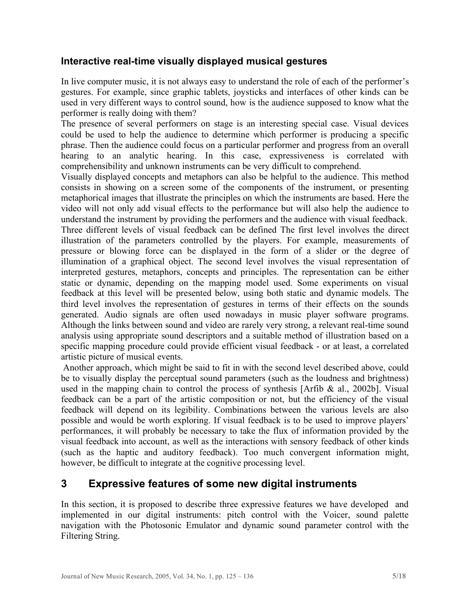#### **Interactive real-time visually displayed musical gestures**

In live computer music, it is not always easy to understand the role of each of the performer's gestures. For example, since graphic tablets, joysticks and interfaces of other kinds can be used in very different ways to control sound, how is the audience supposed to know what the performer is really doing with them?

The presence of several performers on stage is an interesting special case. Visual devices could be used to help the audience to determine which performer is producing a specific phrase. Then the audience could focus on a particular performer and progress from an overall hearing to an analytic hearing. In this case, expressiveness is correlated with comprehensibility and unknown instruments can be very difficult to comprehend.

Visually displayed concepts and metaphors can also be helpful to the audience. This method consists in showing on a screen some of the components of the instrument, or presenting metaphorical images that illustrate the principles on which the instruments are based. Here the video will not only add visual effects to the performance but will also help the audience to understand the instrument by providing the performers and the audience with visual feedback. Three different levels of visual feedback can be defined The first level involves the direct illustration of the parameters controlled by the players. For example, measurements of pressure or blowing force can be displayed in the form of a slider or the degree of illumination of a graphical object. The second level involves the visual representation of interpreted gestures, metaphors, concepts and principles. The representation can be either static or dynamic, depending on the mapping model used. Some experiments on visual feedback at this level will be presented below, using both static and dynamic models. The third level involves the representation of gestures in terms of their effects on the sounds generated. Audio signals are often used nowadays in music player software programs. Although the links between sound and video are rarely very strong, a relevant real-time sound analysis using appropriate sound descriptors and a suitable method of illustration based on a specific mapping procedure could provide efficient visual feedback - or at least, a correlated artistic picture of musical events.

Another approach, which might be said to fit in with the second level described above, could be to visually display the perceptual sound parameters (such as the loudness and brightness) used in the mapping chain to control the process of synthesis [Arfib  $\&$  al., 2002b]. Visual feedback can be a part of the artistic composition or not, but the efficiency of the visual feedback will depend on its legibility. Combinations between the various levels are also possible and would be worth exploring. If visual feedback is to be used to improve players' performances, it will probably be necessary to take the flux of information provided by the visual feedback into account, as well as the interactions with sensory feedback of other kinds (such as the haptic and auditory feedback). Too much convergent information might, however, be difficult to integrate at the cognitive processing level.

#### **3 Expressive features of some new digital instruments**

In this section, it is proposed to describe three expressive features we have developed and implemented in our digital instruments: pitch control with the Voicer, sound palette navigation with the Photosonic Emulator and dynamic sound parameter control with the Filtering String.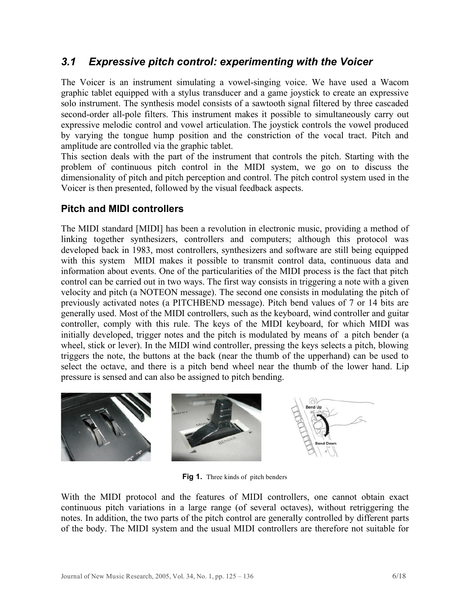## *3.1 Expressive pitch control: experimenting with the Voicer*

The Voicer is an instrument simulating a vowel-singing voice. We have used a Wacom graphic tablet equipped with a stylus transducer and a game joystick to create an expressive solo instrument. The synthesis model consists of a sawtooth signal filtered by three cascaded second-order all-pole filters. This instrument makes it possible to simultaneously carry out expressive melodic control and vowel articulation. The joystick controls the vowel produced by varying the tongue hump position and the constriction of the vocal tract. Pitch and amplitude are controlled via the graphic tablet.

This section deals with the part of the instrument that controls the pitch. Starting with the problem of continuous pitch control in the MIDI system, we go on to discuss the dimensionality of pitch and pitch perception and control. The pitch control system used in the Voicer is then presented, followed by the visual feedback aspects.

#### **Pitch and MIDI controllers**

The MIDI standard [MIDI] has been a revolution in electronic music, providing a method of linking together synthesizers, controllers and computers; although this protocol was developed back in 1983, most controllers, synthesizers and software are still being equipped with this system MIDI makes it possible to transmit control data, continuous data and information about events. One of the particularities of the MIDI process is the fact that pitch control can be carried out in two ways. The first way consists in triggering a note with a given velocity and pitch (a NOTEON message). The second one consists in modulating the pitch of previously activated notes (a PITCHBEND message). Pitch bend values of 7 or 14 bits are generally used. Most of the MIDI controllers, such as the keyboard, wind controller and guitar controller, comply with this rule. The keys of the MIDI keyboard, for which MIDI was initially developed, trigger notes and the pitch is modulated by means of a pitch bender (a wheel, stick or lever). In the MIDI wind controller, pressing the keys selects a pitch, blowing triggers the note, the buttons at the back (near the thumb of the upperhand) can be used to select the octave, and there is a pitch bend wheel near the thumb of the lower hand. Lip pressure is sensed and can also be assigned to pitch bending.



**Fig 1.** Three kinds of pitch benders

With the MIDI protocol and the features of MIDI controllers, one cannot obtain exact continuous pitch variations in a large range (of several octaves), without retriggering the notes. In addition, the two parts of the pitch control are generally controlled by different parts of the body. The MIDI system and the usual MIDI controllers are therefore not suitable for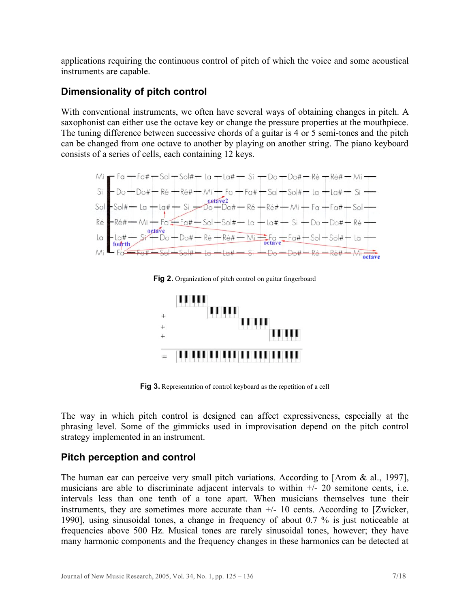applications requiring the continuous control of pitch of which the voice and some acoustical instruments are capable.

### **Dimensionality of pitch control**

With conventional instruments, we often have several ways of obtaining changes in pitch. A saxophonist can either use the octave key or change the pressure properties at the mouthpiece. The tuning difference between successive chords of a guitar is 4 or 5 semi-tones and the pitch can be changed from one octave to another by playing on another string. The piano keyboard consists of a series of cells, each containing 12 keys.



**Fig 2.** Organization of pitch control on guitar fingerboard



**Fig 3.** Representation of control keyboard as the repetition of a cell

The way in which pitch control is designed can affect expressiveness, especially at the phrasing level. Some of the gimmicks used in improvisation depend on the pitch control strategy implemented in an instrument.

#### **Pitch perception and control**

The human ear can perceive very small pitch variations. According to [Arom & al., 1997], musicians are able to discriminate adjacent intervals to within  $+/$  20 semitone cents, i.e. intervals less than one tenth of a tone apart. When musicians themselves tune their instruments, they are sometimes more accurate than  $+/-10$  cents. According to [Zwicker, 1990], using sinusoidal tones, a change in frequency of about 0.7 % is just noticeable at frequencies above 500 Hz. Musical tones are rarely sinusoidal tones, however; they have many harmonic components and the frequency changes in these harmonics can be detected at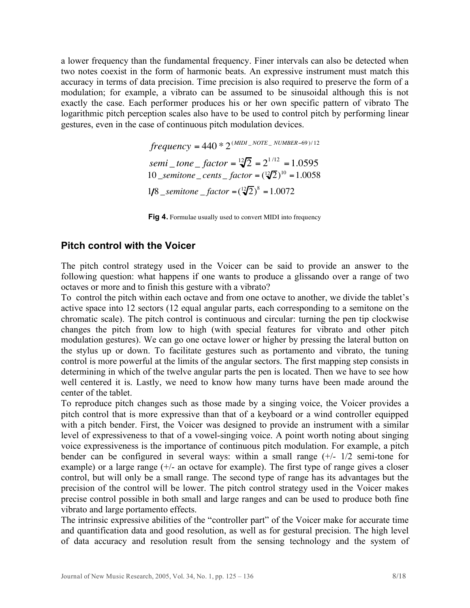a lower frequency than the fundamental frequency. Finer intervals can also be detected when two notes coexist in the form of harmonic beats. An expressive instrument must match this accuracy in terms of data precision. Time precision is also required to preserve the form of a modulation; for example, a vibrato can be assumed to be sinusoidal although this is not exactly the case. Each performer produces his or her own specific pattern of vibrato The logarithmic pitch perception scales also have to be used to control pitch by performing linear gestures, even in the case of continuous pitch modulation devices.

> *frequency* =  $440 * 2$ <sup>(*MIDI*</sup> \_ *NOTE* \_ *NUMBER*-69)/12  $semi\_ tone\_factor = \frac{12}{2} = 2^{1/12} = 1.0595$  $10\_semitone\_cents\_factor = (\sqrt[12]{2})^{10} = 1.0058$  $1/8$  *\_semitone \_factor* =  $(\sqrt[12]{2})^8$  = 1.0072

**Fig 4.** Formulae usually used to convert MIDI into frequency

#### **Pitch control with the Voicer**

The pitch control strategy used in the Voicer can be said to provide an answer to the following question: what happens if one wants to produce a glissando over a range of two octaves or more and to finish this gesture with a vibrato?

To control the pitch within each octave and from one octave to another, we divide the tablet's active space into 12 sectors (12 equal angular parts, each corresponding to a semitone on the chromatic scale). The pitch control is continuous and circular: turning the pen tip clockwise changes the pitch from low to high (with special features for vibrato and other pitch modulation gestures). We can go one octave lower or higher by pressing the lateral button on the stylus up or down. To facilitate gestures such as portamento and vibrato, the tuning control is more powerful at the limits of the angular sectors. The first mapping step consists in determining in which of the twelve angular parts the pen is located. Then we have to see how well centered it is. Lastly, we need to know how many turns have been made around the center of the tablet.

To reproduce pitch changes such as those made by a singing voice, the Voicer provides a pitch control that is more expressive than that of a keyboard or a wind controller equipped with a pitch bender. First, the Voicer was designed to provide an instrument with a similar level of expressiveness to that of a vowel-singing voice. A point worth noting about singing voice expressiveness is the importance of continuous pitch modulation. For example, a pitch bender can be configured in several ways: within a small range  $(+/- 1/2)$  semi-tone for example) or a large range  $(+/-$  an octave for example). The first type of range gives a closer control, but will only be a small range. The second type of range has its advantages but the precision of the control will be lower. The pitch control strategy used in the Voicer makes precise control possible in both small and large ranges and can be used to produce both fine vibrato and large portamento effects.

The intrinsic expressive abilities of the "controller part" of the Voicer make for accurate time and quantification data and good resolution, as well as for gestural precision. The high level of data accuracy and resolution result from the sensing technology and the system of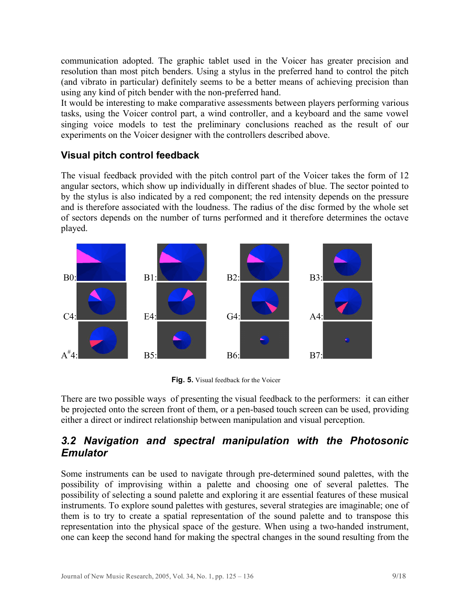communication adopted. The graphic tablet used in the Voicer has greater precision and resolution than most pitch benders. Using a stylus in the preferred hand to control the pitch (and vibrato in particular) definitely seems to be a better means of achieving precision than using any kind of pitch bender with the non-preferred hand.

It would be interesting to make comparative assessments between players performing various tasks, using the Voicer control part, a wind controller, and a keyboard and the same vowel singing voice models to test the preliminary conclusions reached as the result of our experiments on the Voicer designer with the controllers described above.

#### **Visual pitch control feedback**

The visual feedback provided with the pitch control part of the Voicer takes the form of 12 angular sectors, which show up individually in different shades of blue. The sector pointed to by the stylus is also indicated by a red component; the red intensity depends on the pressure and is therefore associated with the loudness. The radius of the disc formed by the whole set of sectors depends on the number of turns performed and it therefore determines the octave played.



**Fig. 5.** Visual feedback for the Voicer

There are two possible ways of presenting the visual feedback to the performers: it can either be projected onto the screen front of them, or a pen-based touch screen can be used, providing either a direct or indirect relationship between manipulation and visual perception.

# *3.2 Navigation and spectral manipulation with the Photosonic Emulator*

Some instruments can be used to navigate through pre-determined sound palettes, with the possibility of improvising within a palette and choosing one of several palettes. The possibility of selecting a sound palette and exploring it are essential features of these musical instruments. To explore sound palettes with gestures, several strategies are imaginable; one of them is to try to create a spatial representation of the sound palette and to transpose this representation into the physical space of the gesture. When using a two-handed instrument, one can keep the second hand for making the spectral changes in the sound resulting from the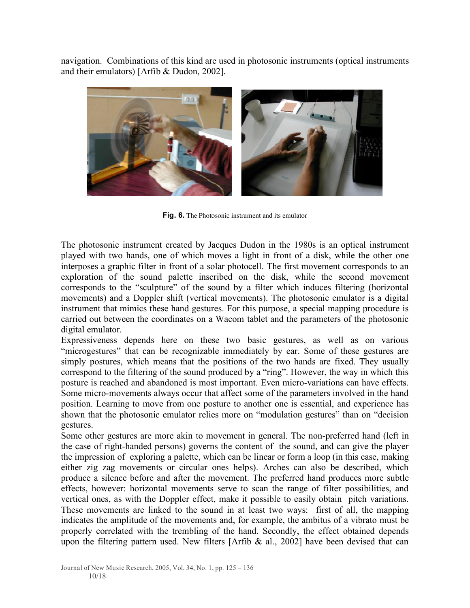navigation. Combinations of this kind are used in photosonic instruments (optical instruments and their emulators) [Arfib & Dudon, 2002].



**Fig. 6.** The Photosonic instrument and its emulator

The photosonic instrument created by Jacques Dudon in the 1980s is an optical instrument played with two hands, one of which moves a light in front of a disk, while the other one interposes a graphic filter in front of a solar photocell. The first movement corresponds to an exploration of the sound palette inscribed on the disk, while the second movement corresponds to the "sculpture" of the sound by a filter which induces filtering (horizontal movements) and a Doppler shift (vertical movements). The photosonic emulator is a digital instrument that mimics these hand gestures. For this purpose, a special mapping procedure is carried out between the coordinates on a Wacom tablet and the parameters of the photosonic digital emulator.

Expressiveness depends here on these two basic gestures, as well as on various "microgestures" that can be recognizable immediately by ear. Some of these gestures are simply postures, which means that the positions of the two hands are fixed. They usually correspond to the filtering of the sound produced by a "ring". However, the way in which this posture is reached and abandoned is most important. Even micro-variations can have effects. Some micro-movements always occur that affect some of the parameters involved in the hand position. Learning to move from one posture to another one is essential, and experience has shown that the photosonic emulator relies more on "modulation gestures" than on "decision gestures.

Some other gestures are more akin to movement in general. The non-preferred hand (left in the case of right-handed persons) governs the content of the sound, and can give the player the impression of exploring a palette, which can be linear or form a loop (in this case, making either zig zag movements or circular ones helps). Arches can also be described, which produce a silence before and after the movement. The preferred hand produces more subtle effects, however: horizontal movements serve to scan the range of filter possibilities, and vertical ones, as with the Doppler effect, make it possible to easily obtain pitch variations. These movements are linked to the sound in at least two ways: first of all, the mapping indicates the amplitude of the movements and, for example, the ambitus of a vibrato must be properly correlated with the trembling of the hand. Secondly, the effect obtained depends upon the filtering pattern used. New filters [Arfib  $\&$  al., 2002] have been devised that can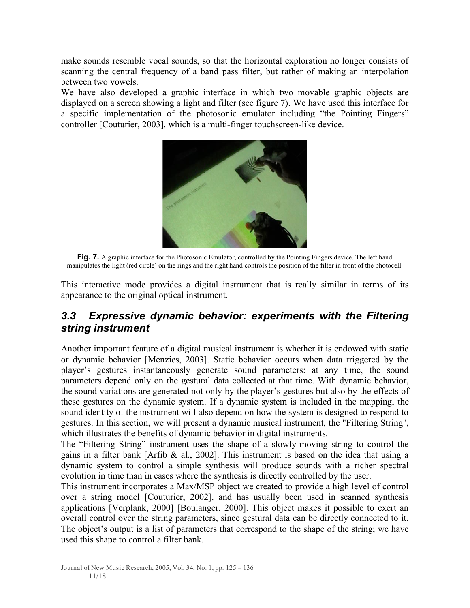make sounds resemble vocal sounds, so that the horizontal exploration no longer consists of scanning the central frequency of a band pass filter, but rather of making an interpolation between two vowels.

We have also developed a graphic interface in which two movable graphic objects are displayed on a screen showing a light and filter (see figure 7). We have used this interface for a specific implementation of the photosonic emulator including "the Pointing Fingers" controller [Couturier, 2003], which is a multi-finger touchscreen-like device.



**Fig. 7.** A graphic interface for the Photosonic Emulator, controlled by the Pointing Fingers device. The left hand manipulates the light (red circle) on the rings and the right hand controls the position of the filter in front of the photocell.

This interactive mode provides a digital instrument that is really similar in terms of its appearance to the original optical instrument.

# *3.3 Expressive dynamic behavior: experiments with the Filtering string instrument*

Another important feature of a digital musical instrument is whether it is endowed with static or dynamic behavior [Menzies, 2003]. Static behavior occurs when data triggered by the player's gestures instantaneously generate sound parameters: at any time, the sound parameters depend only on the gestural data collected at that time. With dynamic behavior, the sound variations are generated not only by the player's gestures but also by the effects of these gestures on the dynamic system. If a dynamic system is included in the mapping, the sound identity of the instrument will also depend on how the system is designed to respond to gestures. In this section, we will present a dynamic musical instrument, the "Filtering String", which illustrates the benefits of dynamic behavior in digital instruments.

The "Filtering String" instrument uses the shape of a slowly-moving string to control the gains in a filter bank [Arfib & al., 2002]. This instrument is based on the idea that using a dynamic system to control a simple synthesis will produce sounds with a richer spectral evolution in time than in cases where the synthesis is directly controlled by the user.

This instrument incorporates a Max/MSP object we created to provide a high level of control over a string model [Couturier, 2002], and has usually been used in scanned synthesis applications [Verplank, 2000] [Boulanger, 2000]. This object makes it possible to exert an overall control over the string parameters, since gestural data can be directly connected to it. The object's output is a list of parameters that correspond to the shape of the string; we have used this shape to control a filter bank.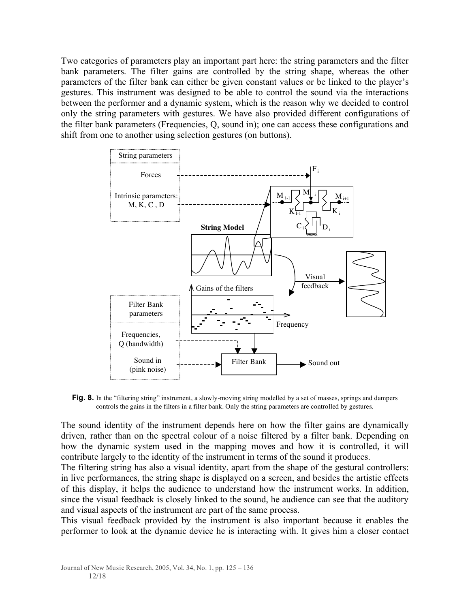Two categories of parameters play an important part here: the string parameters and the filter bank parameters. The filter gains are controlled by the string shape, whereas the other parameters of the filter bank can either be given constant values or be linked to the player's gestures. This instrument was designed to be able to control the sound via the interactions between the performer and a dynamic system, which is the reason why we decided to control only the string parameters with gestures. We have also provided different configurations of the filter bank parameters (Frequencies, Q, sound in); one can access these configurations and shift from one to another using selection gestures (on buttons).



**Fig. 8.** In the "filtering string" instrument, a slowly-moving string modelled by a set of masses, springs and dampers controls the gains in the filters in a filter bank. Only the string parameters are controlled by gestures.

The sound identity of the instrument depends here on how the filter gains are dynamically driven, rather than on the spectral colour of a noise filtered by a filter bank. Depending on how the dynamic system used in the mapping moves and how it is controlled, it will contribute largely to the identity of the instrument in terms of the sound it produces.

The filtering string has also a visual identity, apart from the shape of the gestural controllers: in live performances, the string shape is displayed on a screen, and besides the artistic effects of this display, it helps the audience to understand how the instrument works. In addition, since the visual feedback is closely linked to the sound, he audience can see that the auditory and visual aspects of the instrument are part of the same process.

This visual feedback provided by the instrument is also important because it enables the performer to look at the dynamic device he is interacting with. It gives him a closer contact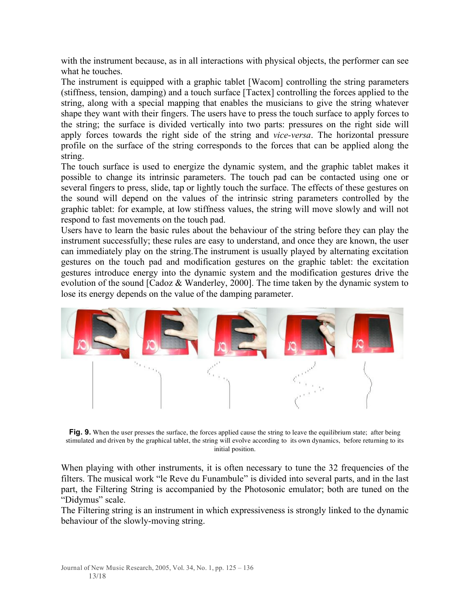with the instrument because, as in all interactions with physical objects, the performer can see what he touches.

The instrument is equipped with a graphic tablet [Wacom] controlling the string parameters (stiffness, tension, damping) and a touch surface [Tactex] controlling the forces applied to the string, along with a special mapping that enables the musicians to give the string whatever shape they want with their fingers. The users have to press the touch surface to apply forces to the string; the surface is divided vertically into two parts: pressures on the right side will apply forces towards the right side of the string and *vice-versa*. The horizontal pressure profile on the surface of the string corresponds to the forces that can be applied along the string.

The touch surface is used to energize the dynamic system, and the graphic tablet makes it possible to change its intrinsic parameters. The touch pad can be contacted using one or several fingers to press, slide, tap or lightly touch the surface. The effects of these gestures on the sound will depend on the values of the intrinsic string parameters controlled by the graphic tablet: for example, at low stiffness values, the string will move slowly and will not respond to fast movements on the touch pad.

Users have to learn the basic rules about the behaviour of the string before they can play the instrument successfully; these rules are easy to understand, and once they are known, the user can immediately play on the string.The instrument is usually played by alternating excitation gestures on the touch pad and modification gestures on the graphic tablet: the excitation gestures introduce energy into the dynamic system and the modification gestures drive the evolution of the sound [Cadoz & Wanderley, 2000]. The time taken by the dynamic system to lose its energy depends on the value of the damping parameter.



**Fig. 9.** When the user presses the surface, the forces applied cause the string to leave the equilibrium state; after being stimulated and driven by the graphical tablet, the string will evolve according to its own dynamics, before returning to its initial position.

When playing with other instruments, it is often necessary to tune the 32 frequencies of the filters. The musical work "le Reve du Funambule" is divided into several parts, and in the last part, the Filtering String is accompanied by the Photosonic emulator; both are tuned on the "Didymus" scale.

The Filtering string is an instrument in which expressiveness is strongly linked to the dynamic behaviour of the slowly-moving string.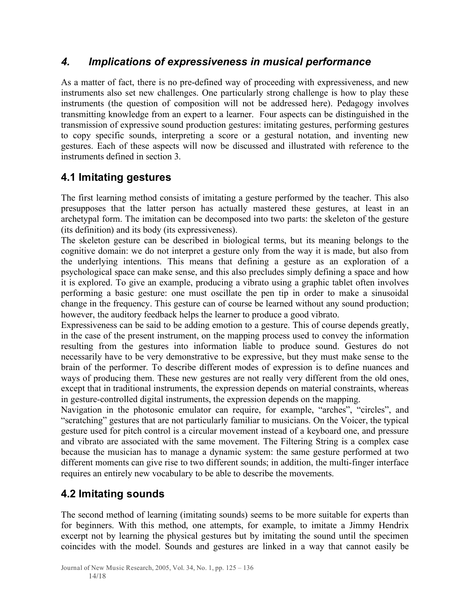# *4. Implications of expressiveness in musical performance*

As a matter of fact, there is no pre-defined way of proceeding with expressiveness, and new instruments also set new challenges. One particularly strong challenge is how to play these instruments (the question of composition will not be addressed here). Pedagogy involves transmitting knowledge from an expert to a learner. Four aspects can be distinguished in the transmission of expressive sound production gestures: imitating gestures, performing gestures to copy specific sounds, interpreting a score or a gestural notation, and inventing new gestures. Each of these aspects will now be discussed and illustrated with reference to the instruments defined in section 3.

# **4.1 Imitating gestures**

The first learning method consists of imitating a gesture performed by the teacher. This also presupposes that the latter person has actually mastered these gestures, at least in an archetypal form. The imitation can be decomposed into two parts: the skeleton of the gesture (its definition) and its body (its expressiveness).

The skeleton gesture can be described in biological terms, but its meaning belongs to the cognitive domain: we do not interpret a gesture only from the way it is made, but also from the underlying intentions. This means that defining a gesture as an exploration of a psychological space can make sense, and this also precludes simply defining a space and how it is explored. To give an example, producing a vibrato using a graphic tablet often involves performing a basic gesture: one must oscillate the pen tip in order to make a sinusoidal change in the frequency. This gesture can of course be learned without any sound production; however, the auditory feedback helps the learner to produce a good vibrato.

Expressiveness can be said to be adding emotion to a gesture. This of course depends greatly, in the case of the present instrument, on the mapping process used to convey the information resulting from the gestures into information liable to produce sound. Gestures do not necessarily have to be very demonstrative to be expressive, but they must make sense to the brain of the performer. To describe different modes of expression is to define nuances and ways of producing them. These new gestures are not really very different from the old ones, except that in traditional instruments, the expression depends on material constraints, whereas in gesture-controlled digital instruments, the expression depends on the mapping.

Navigation in the photosonic emulator can require, for example, "arches", "circles", and "scratching" gestures that are not particularly familiar to musicians. On the Voicer, the typical gesture used for pitch control is a circular movement instead of a keyboard one, and pressure and vibrato are associated with the same movement. The Filtering String is a complex case because the musician has to manage a dynamic system: the same gesture performed at two different moments can give rise to two different sounds; in addition, the multi-finger interface requires an entirely new vocabulary to be able to describe the movements.

# **4.2 Imitating sounds**

The second method of learning (imitating sounds) seems to be more suitable for experts than for beginners. With this method, one attempts, for example, to imitate a Jimmy Hendrix excerpt not by learning the physical gestures but by imitating the sound until the specimen coincides with the model. Sounds and gestures are linked in a way that cannot easily be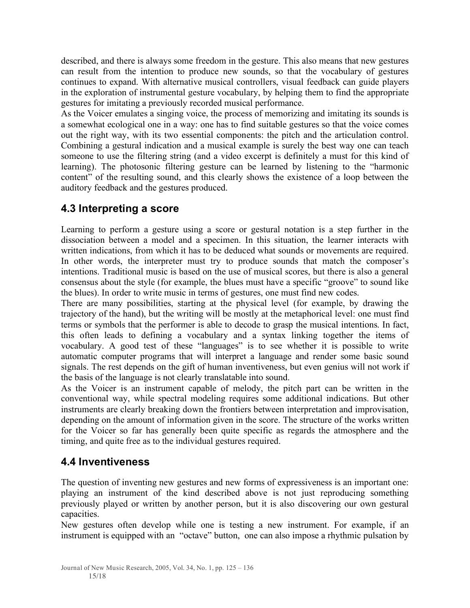described, and there is always some freedom in the gesture. This also means that new gestures can result from the intention to produce new sounds, so that the vocabulary of gestures continues to expand. With alternative musical controllers, visual feedback can guide players in the exploration of instrumental gesture vocabulary, by helping them to find the appropriate gestures for imitating a previously recorded musical performance.

As the Voicer emulates a singing voice, the process of memorizing and imitating its sounds is a somewhat ecological one in a way: one has to find suitable gestures so that the voice comes out the right way, with its two essential components: the pitch and the articulation control. Combining a gestural indication and a musical example is surely the best way one can teach someone to use the filtering string (and a video excerpt is definitely a must for this kind of learning). The photosonic filtering gesture can be learned by listening to the "harmonic content" of the resulting sound, and this clearly shows the existence of a loop between the auditory feedback and the gestures produced.

# **4.3 Interpreting a score**

Learning to perform a gesture using a score or gestural notation is a step further in the dissociation between a model and a specimen. In this situation, the learner interacts with written indications, from which it has to be deduced what sounds or movements are required. In other words, the interpreter must try to produce sounds that match the composer's intentions. Traditional music is based on the use of musical scores, but there is also a general consensus about the style (for example, the blues must have a specific "groove" to sound like the blues). In order to write music in terms of gestures, one must find new codes.

There are many possibilities, starting at the physical level (for example, by drawing the trajectory of the hand), but the writing will be mostly at the metaphorical level: one must find terms or symbols that the performer is able to decode to grasp the musical intentions. In fact, this often leads to defining a vocabulary and a syntax linking together the items of vocabulary. A good test of these "languages" is to see whether it is possible to write automatic computer programs that will interpret a language and render some basic sound signals. The rest depends on the gift of human inventiveness, but even genius will not work if the basis of the language is not clearly translatable into sound.

As the Voicer is an instrument capable of melody, the pitch part can be written in the conventional way, while spectral modeling requires some additional indications. But other instruments are clearly breaking down the frontiers between interpretation and improvisation, depending on the amount of information given in the score. The structure of the works written for the Voicer so far has generally been quite specific as regards the atmosphere and the timing, and quite free as to the individual gestures required.

# **4.4 Inventiveness**

The question of inventing new gestures and new forms of expressiveness is an important one: playing an instrument of the kind described above is not just reproducing something previously played or written by another person, but it is also discovering our own gestural capacities.

New gestures often develop while one is testing a new instrument. For example, if an instrument is equipped with an "octave" button, one can also impose a rhythmic pulsation by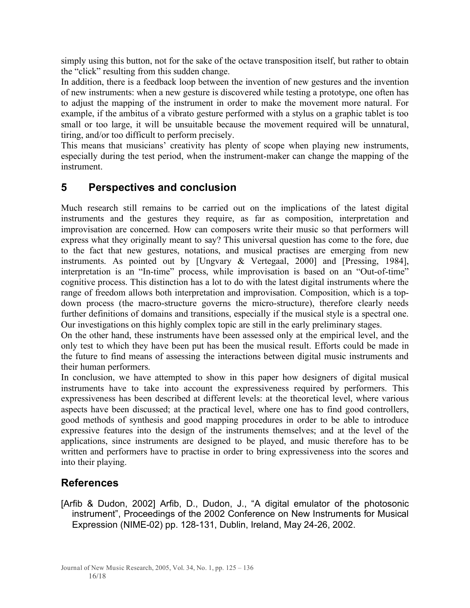simply using this button, not for the sake of the octave transposition itself, but rather to obtain the "click" resulting from this sudden change.

In addition, there is a feedback loop between the invention of new gestures and the invention of new instruments: when a new gesture is discovered while testing a prototype, one often has to adjust the mapping of the instrument in order to make the movement more natural. For example, if the ambitus of a vibrato gesture performed with a stylus on a graphic tablet is too small or too large, it will be unsuitable because the movement required will be unnatural, tiring, and/or too difficult to perform precisely.

This means that musicians' creativity has plenty of scope when playing new instruments, especially during the test period, when the instrument-maker can change the mapping of the instrument.

# **5 Perspectives and conclusion**

Much research still remains to be carried out on the implications of the latest digital instruments and the gestures they require, as far as composition, interpretation and improvisation are concerned. How can composers write their music so that performers will express what they originally meant to say? This universal question has come to the fore, due to the fact that new gestures, notations, and musical practises are emerging from new instruments. As pointed out by [Ungvary & Vertegaal, 2000] and [Pressing, 1984], interpretation is an "In-time" process, while improvisation is based on an "Out-of-time" cognitive process. This distinction has a lot to do with the latest digital instruments where the range of freedom allows both interpretation and improvisation. Composition, which is a topdown process (the macro-structure governs the micro-structure), therefore clearly needs further definitions of domains and transitions, especially if the musical style is a spectral one. Our investigations on this highly complex topic are still in the early preliminary stages.

On the other hand, these instruments have been assessed only at the empirical level, and the only test to which they have been put has been the musical result. Efforts could be made in the future to find means of assessing the interactions between digital music instruments and their human performers.

In conclusion, we have attempted to show in this paper how designers of digital musical instruments have to take into account the expressiveness required by performers. This expressiveness has been described at different levels: at the theoretical level, where various aspects have been discussed; at the practical level, where one has to find good controllers, good methods of synthesis and good mapping procedures in order to be able to introduce expressive features into the design of the instruments themselves; and at the level of the applications, since instruments are designed to be played, and music therefore has to be written and performers have to practise in order to bring expressiveness into the scores and into their playing.

# **References**

[Arfib & Dudon, 2002] Arfib, D., Dudon, J., "A digital emulator of the photosonic instrument", Proceedings of the 2002 Conference on New Instruments for Musical Expression (NIME-02) pp. 128-131, Dublin, Ireland, May 24-26, 2002.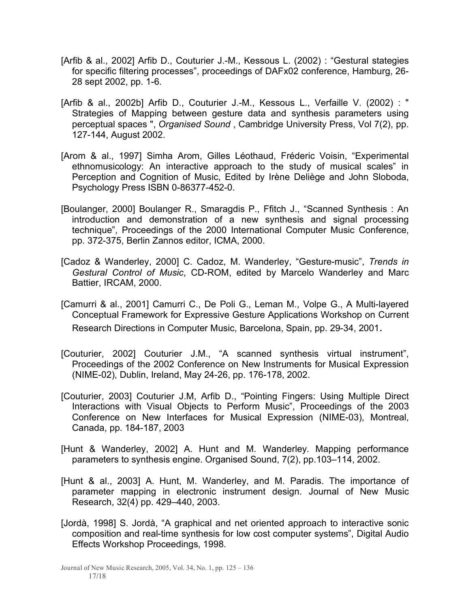- [Arfib & al., 2002] Arfib D., Couturier J.-M., Kessous L. (2002) : "Gestural stategies for specific filtering processes", proceedings of DAFx02 conference, Hamburg, 26- 28 sept 2002, pp. 1-6.
- [Arfib & al., 2002b] Arfib D., Couturier J.-M., Kessous L., Verfaille V. (2002) : " Strategies of Mapping between gesture data and synthesis parameters using perceptual spaces ", *Organised Sound* , Cambridge University Press, Vol 7(2), pp. 127-144, August 2002.
- [Arom & al., 1997] Simha Arom, Gilles Léothaud, Fréderic Voisin, "Experimental ethnomusicology: An interactive approach to the study of musical scales" in Perception and Cognition of Music, Edited by Irène Deliège and John Sloboda, Psychology Press ISBN 0-86377-452-0.
- [Boulanger, 2000] Boulanger R., Smaragdis P., Ffitch J., "Scanned Synthesis : An introduction and demonstration of a new synthesis and signal processing technique", Proceedings of the 2000 International Computer Music Conference, pp. 372-375, Berlin Zannos editor, ICMA, 2000.
- [Cadoz & Wanderley, 2000] C. Cadoz, M. Wanderley, "Gesture-music", *Trends in Gestural Control of Music*, CD-ROM, edited by Marcelo Wanderley and Marc Battier, IRCAM, 2000.
- [Camurri & al., 2001] Camurri C., De Poli G., Leman M., Volpe G., A Multi-layered Conceptual Framework for Expressive Gesture Applications Workshop on Current Research Directions in Computer Music, Barcelona, Spain, pp. 29-34, 2001.
- [Couturier, 2002] Couturier J.M., "A scanned synthesis virtual instrument", Proceedings of the 2002 Conference on New Instruments for Musical Expression (NIME-02), Dublin, Ireland, May 24-26, pp. 176-178, 2002.
- [Couturier, 2003] Couturier J.M, Arfib D., "Pointing Fingers: Using Multiple Direct Interactions with Visual Objects to Perform Music", Proceedings of the 2003 Conference on New Interfaces for Musical Expression (NIME-03), Montreal, Canada, pp. 184-187, 2003
- [Hunt & Wanderley, 2002] A. Hunt and M. Wanderley. Mapping performance parameters to synthesis engine. Organised Sound, 7(2), pp.103–114, 2002.
- [Hunt & al., 2003] A. Hunt, M. Wanderley, and M. Paradis. The importance of parameter mapping in electronic instrument design. Journal of New Music Research, 32(4) pp. 429–440, 2003.
- [Jordà, 1998] S. Jordà, "A graphical and net oriented approach to interactive sonic composition and real-time synthesis for low cost computer systems", Digital Audio Effects Workshop Proceedings, 1998.